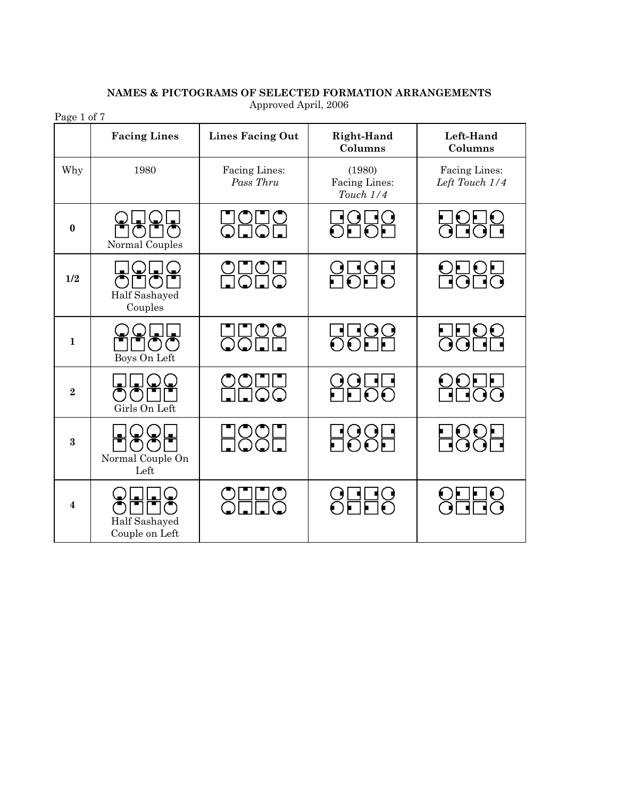| Page 1 of 7             |                                                                                            |                            |                                      |                                 |  |
|-------------------------|--------------------------------------------------------------------------------------------|----------------------------|--------------------------------------|---------------------------------|--|
|                         | <b>Facing Lines</b>                                                                        | <b>Lines Facing Out</b>    | Right-Hand<br>Columns                | Left-Hand<br>Columns            |  |
| Why                     | 1980                                                                                       | Facing Lines:<br>Pass Thru | (1980)<br>Facing Lines:<br>Touch 1/4 | Facing Lines:<br>Left Touch 1/4 |  |
| $\bf{0}$                | TOFIO<br>Normal Couples                                                                    | <b>UOU0</b>                | <b>BOBO</b>                          | 8888<br>2898                    |  |
| 1/2                     | $\bigcirc$ LI $\bigcirc$<br>Half Sashayed<br>Couples                                       | <u>onon</u><br>Hollo       | 8885<br>2020                         | <b>8888</b>                     |  |
| $\mathbf{1}$            | Boys On Left                                                                               | <b>UU00</b>                | 5588<br>5588                         | 9986<br>2926                    |  |
| $\overline{2}$          | $\left( \begin{matrix} \blacksquare \\ \blacksquare \end{matrix} \right)$<br>Girls On Left |                            | 8855<br>2255                         | 0005<br>NHOO                    |  |
| $\bf{3}$                | Normal Couple On<br>Left                                                                   | <b>H88H</b>                | <b>H88H</b>                          | 888<br>88                       |  |
| $\overline{\mathbf{4}}$ | Half Sashayed<br>Couple on Left                                                            | <b>SHHS</b>                | 8888                                 | 8888                            |  |

# **NAMES & PICTOGRAMS OF SELECTED FORMATION ARRANGEMENTS** Approved April, 2006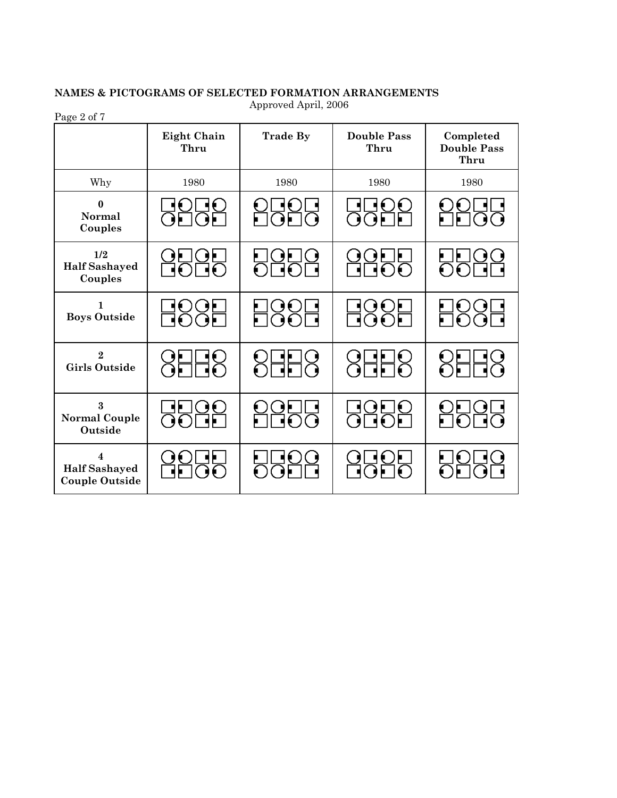# **NAMES & PICTOGRAMS OF SELECTED FORMATION ARRANGEMENTS** Approved April, 2006

Page 2 of 7

|                                                                          | <b>Eight Chain</b><br>Thru | <b>Trade By</b>     | <b>Double Pass</b><br>Thru | Completed<br><b>Double Pass</b><br>Thru |
|--------------------------------------------------------------------------|----------------------------|---------------------|----------------------------|-----------------------------------------|
| Why                                                                      | 1980                       | 1980                | 1980                       | 1980                                    |
| $\bf{0}$<br><b>Normal</b><br>Couples                                     | <b>UOGO</b>                | 856<br>295          | 5522<br>5522               |                                         |
| 1/2<br><b>Half Sashayed</b><br>Couples                                   | 8585<br>8565               | <b>DODO</b><br>OLOL | $\underbrace{00}{000}$     | 556<br>200                              |
| $\mathbf{1}$<br><b>Boys Outside</b>                                      | H88H                       | 8886<br>2886        | <b>H885</b>                | <b>2001</b><br>2001                     |
| $\overline{2}$<br><b>Girls Outside</b>                                   | 8HH8                       | <b>8888</b>         | 8888                       | 888                                     |
| $\bf{3}$<br><b>Normal Couple</b><br>Outside                              | 8955<br>2995               | 8855                | <b>BODO</b><br>2000        | <b>OLIUL</b><br>LIOLIC                  |
| $\overline{\mathbf{4}}$<br><b>Half Sashayed</b><br><b>Couple Outside</b> |                            |                     | 8585<br>2625               |                                         |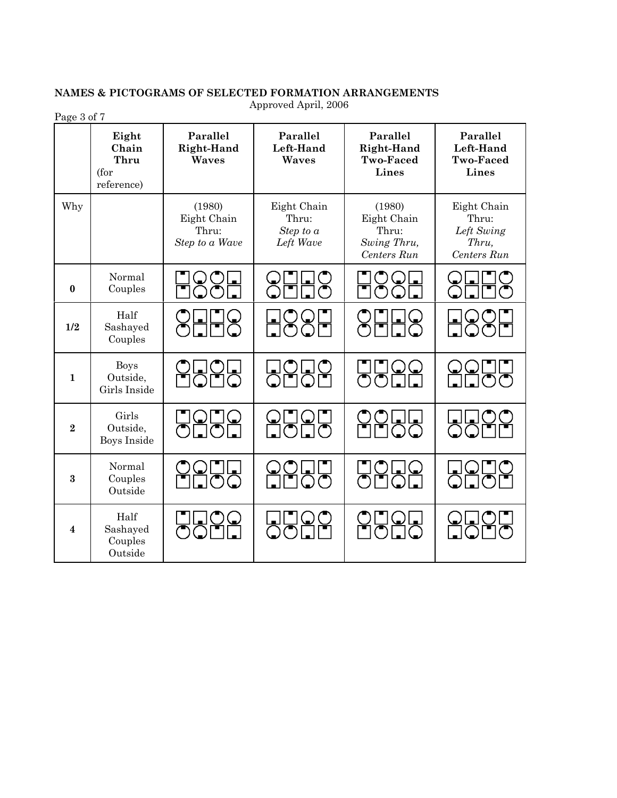# **NAMES & PICTOGRAMS OF SELECTED FORMATION ARRANGEMENTS** Approved April, 2006

| Page 3 of 7             |                                              |                                                  |                                                  |                                                              |                                                            |
|-------------------------|----------------------------------------------|--------------------------------------------------|--------------------------------------------------|--------------------------------------------------------------|------------------------------------------------------------|
|                         | Eight<br>Chain<br>Thru<br>(for<br>reference) | Parallel<br>Right-Hand<br>Waves                  | Parallel<br>Left-Hand<br>Waves                   | Parallel<br><b>Right-Hand</b><br><b>Two-Faced</b><br>Lines   | Parallel<br>Left-Hand<br><b>Two-Faced</b><br><b>Lines</b>  |
| Why                     |                                              | (1980)<br>Eight Chain<br>Thru:<br>Step to a Wave | Eight Chain<br>Thru:<br>Step to $a$<br>Left Wave | (1980)<br>Eight Chain<br>Thru:<br>Swing Thru,<br>Centers Run | Eight Chain<br>Thru:<br>Left Swing<br>Thru,<br>Centers Run |
| $\bf{0}$                | Normal<br>Couples                            |                                                  |                                                  |                                                              |                                                            |
| 1/2                     | Half<br>Sashayed<br>Couples                  | $S$ $F$ $F$ $S$                                  | 885<br>2001                                      |                                                              | <u>HO</u>                                                  |
| $\mathbf{1}$            | <b>Boys</b><br>Outside,<br>Girls Inside      | LICLI<br>Iomo                                    | <b>RANG</b>                                      | ∪<br>あお                                                      | <u>ada</u>                                                 |
| $\overline{2}$          | Girls<br>Outside,<br><b>Boys Inside</b>      | 0000<br>0000                                     | 8989<br>2020                                     |                                                              | <u>LILIO</u><br>QOLI                                       |
| $\bf{3}$                | Normal<br>Couples<br>Outside                 | 1(                                               | $Q_{\mathbf{k}}$<br>$\frac{001}{100}$            | $\cap$                                                       | <b>UOU</b>                                                 |
| $\overline{\mathbf{4}}$ | Half<br>Sashayed<br>Couples<br>Outside       | ŌŌŇ                                              | ŌŌĎ                                              | ৗত⊡়                                                         | ŪŌI                                                        |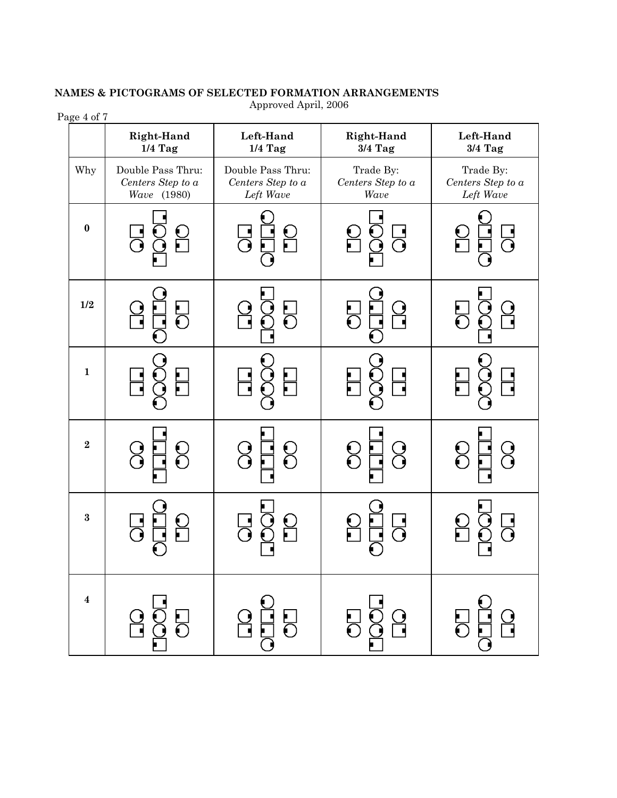#### **Right-Hand Left-Hand Right-Hand Left-Hand 3/4 Tag 1/4 Tag 1/4 Tag 3/4 Tag** Why | Double Pass Thru: Double Pass Thru: Trade By: Trade By: *Centers Step to a Centers Step to a Centers Step to a Centers Step to a Wave* (1980) *Left Wave Wave Left Wave* **0 1**  $\overline{\phantom{a}}$ ဌ  $\overline{\textbf{S}}$  $\overline{\text{C}}$  **1/2** 5 <u>)</u><br>-<u>ال</u> ı E  $\frac{1}{\sqrt{2}}$ T  $\frac{1}{2}$  $\frac{1}{1}$  <sup>2</sup> Q 8  $\begin{matrix} 0 \\ 0 \end{matrix}$ 8  $\overline{\textbf{d}}$ **<sup>3</sup>** <u>ု</u> ┙┙ ı ı **4** 5 <u>9</u> ╣

### **NAMES & PICTOGRAMS OF SELECTED FORMATION ARRANGEMENTS** Approved April, 2006

Page 4 of 7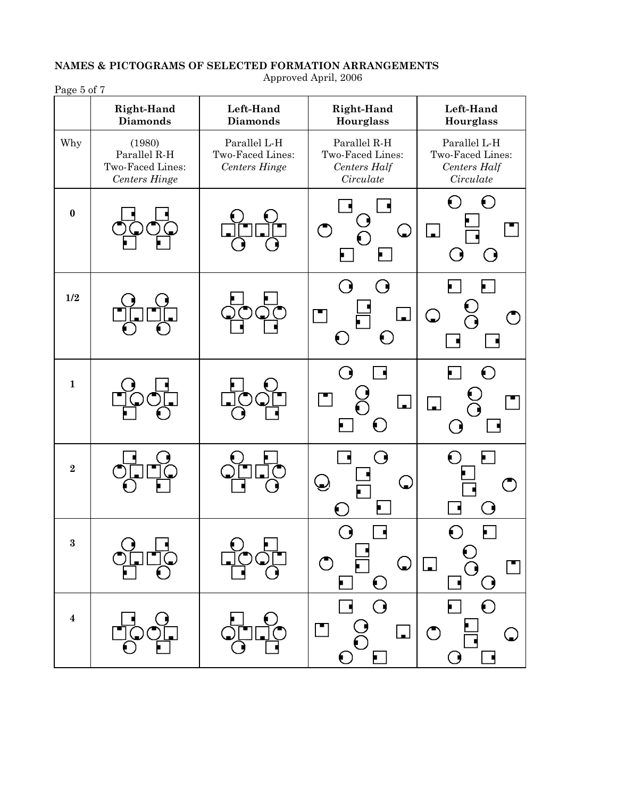| Page 5 of 7      |                                                                                                                          |                                                          |                                                                            |                                                                                             |
|------------------|--------------------------------------------------------------------------------------------------------------------------|----------------------------------------------------------|----------------------------------------------------------------------------|---------------------------------------------------------------------------------------------|
|                  | Right-Hand<br><b>Diamonds</b>                                                                                            | Left-Hand<br><b>Diamonds</b>                             | Right-Hand<br>Hourglass                                                    | Left-Hand<br><b>Hourglass</b>                                                               |
| Why              | (1980)<br>Parallel R-H<br>Two-Faced Lines:<br>Centers Hinge                                                              | Parallel L-H<br>Two-Faced Lines:<br><b>Centers Hinge</b> | Parallel R-H<br>Two-Faced Lines:<br>Centers Half<br>Circulate              | Parallel L-H<br>Two-Faced Lines:<br>Centers Half<br>Circulate                               |
| $\bf{0}$         |                                                                                                                          |                                                          | $\subset$<br>$\bigcirc$<br>$\blacksquare$                                  | $\Theta$<br>$\Box$<br>0<br>. .                                                              |
| 1/2              |                                                                                                                          |                                                          | <b>Q</b><br>⋰<br>$\mathsf{L}$<br>$\mathbf{r}$<br>$\bigodot$<br>O           | Ų<br>$\bigtriangledown$                                                                     |
| $\mathbf{1}$     |                                                                                                                          |                                                          | ( )<br>$\Box$<br>$\Box$<br>$\bigodot$<br>F                                 | €<br>$\overline{\phantom{a}}$<br>€                                                          |
| $\bf 2$          |                                                                                                                          |                                                          | O<br>پ<br>$\mathbf{C}$                                                     | $\blacksquare$                                                                              |
| $\bf{3}$         | $\begin{array}{c} {\mathcal O} & {\mathcal O} \\ {\mathcal O} & {\mathcal O} \\ {\mathcal O} & {\mathcal O} \end{array}$ | $\begin{matrix} 0 \\ 0 \\ 0 \end{matrix}$                | $\Box$<br>$\bigcirc$<br>$\bigcirc$                                         | $\begin{bmatrix} 0 \\ 0 \\ -0 \end{bmatrix}$<br>$\Box$<br>П<br>$\underline{\textcircled{}}$ |
| $\boldsymbol{4}$ | $\frac{\Box}{\rm{O}}$                                                                                                    | $\bigcirc$                                               | $\frac{10}{100}$<br>$\frac{10}{100}$<br>$\Box$<br>$\overline{\phantom{a}}$ | $\overline{O}$<br>$\Box$<br>$\ddot{\odot}$<br>$\mathbf{\mathbb{Q}}$                         |

# **NAMES & PICTOGRAMS OF SELECTED FORMATION ARRANGEMENTS**

Approved April, 2006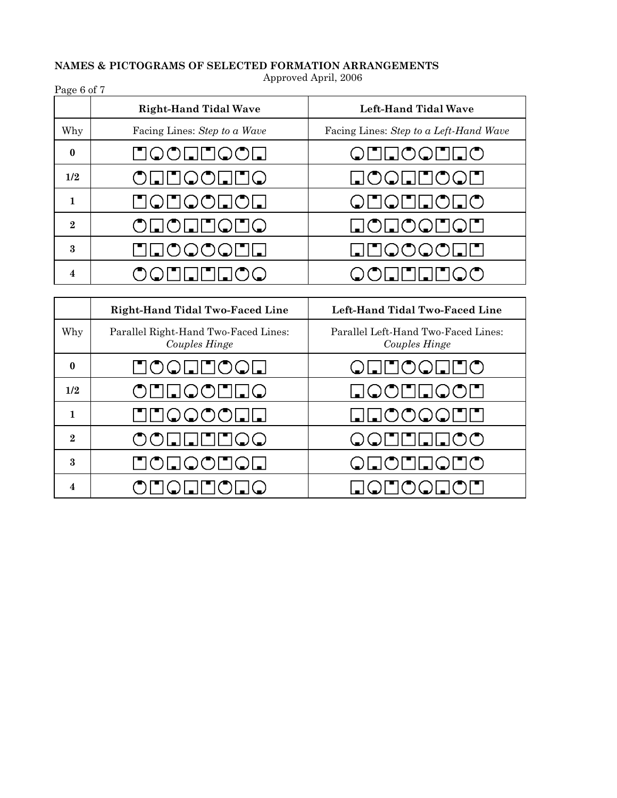# **NAMES & PICTOGRAMS OF SELECTED FORMATION ARRANGEMENTS**

Approved April, 2006

| Page 6 of 7    |                              |                                                                            |  |  |
|----------------|------------------------------|----------------------------------------------------------------------------|--|--|
|                | <b>Right-Hand Tidal Wave</b> | Left-Hand Tidal Wave                                                       |  |  |
| Why            | Facing Lines: Step to a Wave | Facing Lines: Step to a Left-Hand Wave                                     |  |  |
| $\bf{0}$       | HOOHHOOH                     | ONNOONNO                                                                   |  |  |
| 1/2            | ONNOONNO                     | $\blacksquare \lozenge \lozenge \square \square \lozenge \lozenge \square$ |  |  |
|                | HOHOOHOH                     | ONONNONO                                                                   |  |  |
| $\overline{2}$ | ONONNONO                     | $\Box$ o $\Box$ o $\Box$ o $\Box$                                          |  |  |
| 3              | LNOOOOD                      | $\Box$ $\Box$ $\Diamond$ $\Diamond$ $\Box$ $\Box$                          |  |  |
| 4              | OQEEEEOO                     | OONNENOO                                                                   |  |  |

|                           | Right-Hand Tidal Two-Faced Line                                                                                                                                                                                                                                                                                                                                             | Left-Hand Tidal Two-Faced Line                                                                                                                                                                                                                                                                                                                                              |  |
|---------------------------|-----------------------------------------------------------------------------------------------------------------------------------------------------------------------------------------------------------------------------------------------------------------------------------------------------------------------------------------------------------------------------|-----------------------------------------------------------------------------------------------------------------------------------------------------------------------------------------------------------------------------------------------------------------------------------------------------------------------------------------------------------------------------|--|
| Why                       | Parallel Right-Hand Two-Faced Lines:<br>Couples Hinge                                                                                                                                                                                                                                                                                                                       | Parallel Left-Hand Two-Faced Lines:<br>Couples Hinge                                                                                                                                                                                                                                                                                                                        |  |
| $\bf{0}$                  | LOOLLOOL                                                                                                                                                                                                                                                                                                                                                                    | ONNOONNO                                                                                                                                                                                                                                                                                                                                                                    |  |
| 1/2                       | ONNOONNO                                                                                                                                                                                                                                                                                                                                                                    | $\blacksquare \lozenge \lozenge \square \square \lozenge \lozenge \square$                                                                                                                                                                                                                                                                                                  |  |
|                           | <b>⊡</b> ⊟⊙⊙⊙⊙⊡⊡                                                                                                                                                                                                                                                                                                                                                            | <b>QQOOQDU</b>                                                                                                                                                                                                                                                                                                                                                              |  |
| $\bf{2}$                  | $\begin{picture}(40,4) \put(0,0){\vector(0,0){10}} \put(15,0){\vector(0,1){10}} \put(15,0){\vector(0,1){10}} \put(15,0){\vector(0,1){10}} \put(15,0){\vector(0,1){10}} \put(15,0){\vector(0,1){10}} \put(15,0){\vector(0,1){10}} \put(15,0){\vector(0,1){10}} \put(15,0){\vector(0,1){10}} \put(15,0){\vector(0,1){10}} \put(15,0){\vector(0,1){10}} \put(15,0){\vector(0,$ | $\begin{picture}(40,4) \put(0,0){\vector(0,0){10}} \put(15,0){\vector(0,1){10}} \put(15,0){\vector(0,1){10}} \put(15,0){\vector(0,1){10}} \put(15,0){\vector(0,1){10}} \put(15,0){\vector(0,1){10}} \put(15,0){\vector(0,1){10}} \put(15,0){\vector(0,1){10}} \put(15,0){\vector(0,1){10}} \put(15,0){\vector(0,1){10}} \put(15,0){\vector(0,1){10}} \put(15,0){\vector(0,$ |  |
| $\boldsymbol{\mathsf{R}}$ | HOHQOHQH                                                                                                                                                                                                                                                                                                                                                                    | <b>QUOMLQUO</b>                                                                                                                                                                                                                                                                                                                                                             |  |
| 4                         | ONONNONO                                                                                                                                                                                                                                                                                                                                                                    | $\blacksquare \lozenge \blacksquare \lozenge \lozenge \square \lozenge \square$                                                                                                                                                                                                                                                                                             |  |